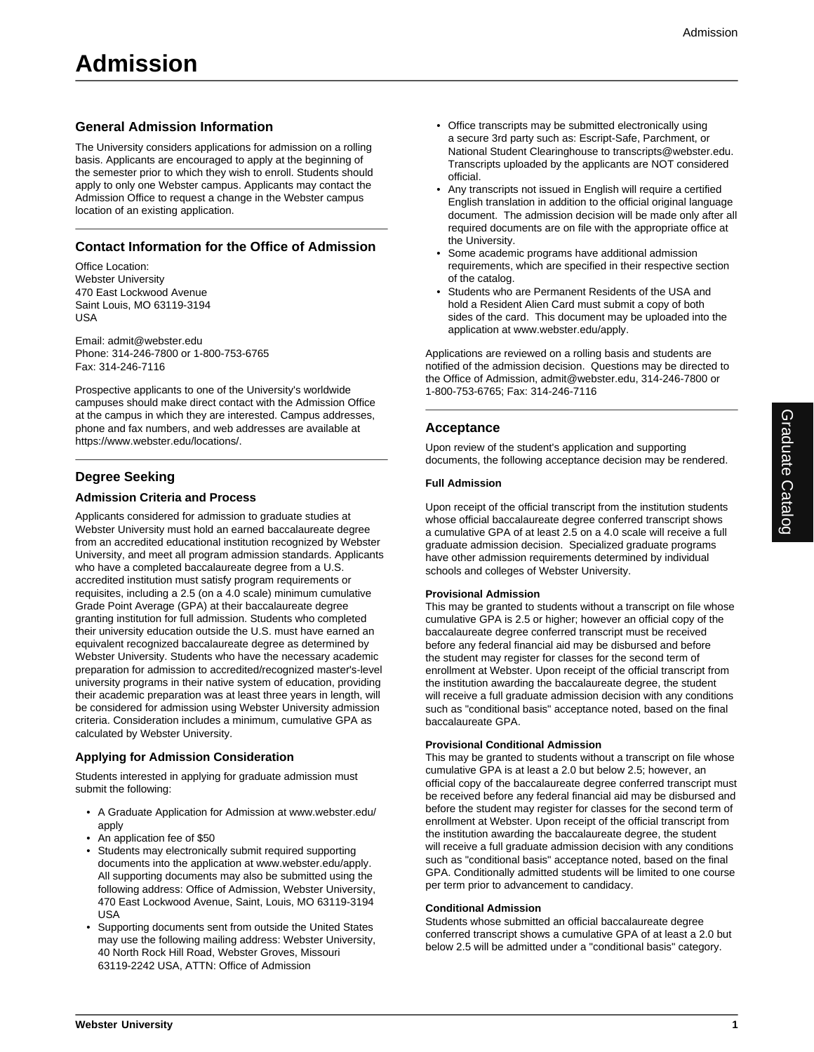## **General Admission Information**

The University considers applications for admission on a rolling basis. Applicants are encouraged to apply at the beginning of the semester prior to which they wish to enroll. Students should apply to only one Webster campus. Applicants may contact the Admission Office to request a change in the Webster campus location of an existing application.

## **Contact Information for the Office of Admission**

Office Location: Webster University 470 East Lockwood Avenue Saint Louis, MO 63119-3194 USA

Email: admit@webster.edu Phone: 314-246-7800 or 1-800-753-6765 Fax: 314-246-7116

Prospective applicants to one of the University's worldwide campuses should make direct contact with the Admission Office at the campus in which they are interested. Campus addresses, phone and fax numbers, and web addresses are available at https://www.webster.edu/locations/.

# **Degree Seeking**

## **Admission Criteria and Process**

Applicants considered for admission to graduate studies at Webster University must hold an earned baccalaureate degree from an accredited educational institution recognized by Webster University, and meet all program admission standards. Applicants who have a completed baccalaureate degree from a U.S. accredited institution must satisfy program requirements or requisites, including a 2.5 (on a 4.0 scale) minimum cumulative Grade Point Average (GPA) at their baccalaureate degree granting institution for full admission. Students who completed their university education outside the U.S. must have earned an equivalent recognized baccalaureate degree as determined by Webster University. Students who have the necessary academic preparation for admission to accredited/recognized master's-level university programs in their native system of education, providing their academic preparation was at least three years in length, will be considered for admission using Webster University admission criteria. Consideration includes a minimum, cumulative GPA as calculated by Webster University.

## **Applying for Admission Consideration**

Students interested in applying for graduate admission must submit the following:

- A Graduate Application for Admission at www.webster.edu/ apply
- An application fee of \$50
- Students may electronically submit required supporting documents into the application at www.webster.edu/apply. All supporting documents may also be submitted using the following address: Office of Admission, Webster University, 470 East Lockwood Avenue, Saint, Louis, MO 63119-3194 USA
- Supporting documents sent from outside the United States may use the following mailing address: Webster University, 40 North Rock Hill Road, Webster Groves, Missouri 63119-2242 USA, ATTN: Office of Admission
- Office transcripts may be submitted electronically using a secure 3rd party such as: Escript-Safe, Parchment, or National Student Clearinghouse to transcripts@webster.edu. Transcripts uploaded by the applicants are NOT considered official.
- Any transcripts not issued in English will require a certified English translation in addition to the official original language document. The admission decision will be made only after all required documents are on file with the appropriate office at the University.
- Some academic programs have additional admission requirements, which are specified in their respective section of the catalog.
- Students who are Permanent Residents of the USA and hold a Resident Alien Card must submit a copy of both sides of the card. This document may be uploaded into the application at www.webster.edu/apply.

Applications are reviewed on a rolling basis and students are notified of the admission decision. Questions may be directed to the Office of Admission, admit@webster.edu, 314-246-7800 or 1-800-753-6765; Fax: 314-246-7116

## **Acceptance**

Upon review of the student's application and supporting documents, the following acceptance decision may be rendered.

#### **Full Admission**

Upon receipt of the official transcript from the institution students whose official baccalaureate degree conferred transcript shows a cumulative GPA of at least 2.5 on a 4.0 scale will receive a full graduate admission decision. Specialized graduate programs have other admission requirements determined by individual schools and colleges of Webster University.

### **Provisional Admission**

This may be granted to students without a transcript on file whose cumulative GPA is 2.5 or higher; however an official copy of the baccalaureate degree conferred transcript must be received before any federal financial aid may be disbursed and before the student may register for classes for the second term of enrollment at Webster. Upon receipt of the official transcript from the institution awarding the baccalaureate degree, the student will receive a full graduate admission decision with any conditions such as "conditional basis" acceptance noted, based on the final baccalaureate GPA.

### **Provisional Conditional Admission**

This may be granted to students without a transcript on file whose cumulative GPA is at least a 2.0 but below 2.5; however, an official copy of the baccalaureate degree conferred transcript must be received before any federal financial aid may be disbursed and before the student may register for classes for the second term of enrollment at Webster. Upon receipt of the official transcript from the institution awarding the baccalaureate degree, the student will receive a full graduate admission decision with any conditions such as "conditional basis" acceptance noted, based on the final GPA. Conditionally admitted students will be limited to one course per term prior to advancement to candidacy.

#### **Conditional Admission**

Students whose submitted an official baccalaureate degree conferred transcript shows a cumulative GPA of at least a 2.0 but below 2.5 will be admitted under a "conditional basis" category.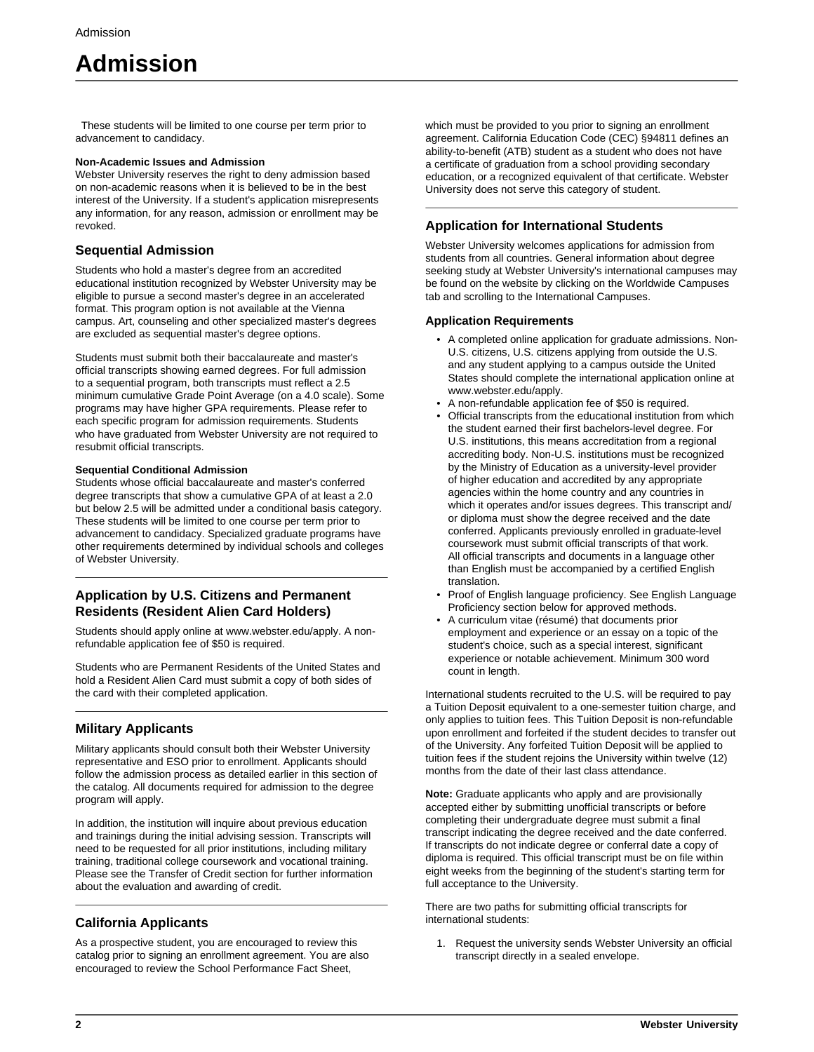# **Admission**

 These students will be limited to one course per term prior to advancement to candidacy.

#### **Non-Academic Issues and Admission**

Webster University reserves the right to deny admission based on non-academic reasons when it is believed to be in the best interest of the University. If a student's application misrepresents any information, for any reason, admission or enrollment may be revoked.

## **Sequential Admission**

Students who hold a master's degree from an accredited educational institution recognized by Webster University may be eligible to pursue a second master's degree in an accelerated format. This program option is not available at the Vienna campus. Art, counseling and other specialized master's degrees are excluded as sequential master's degree options.

Students must submit both their baccalaureate and master's official transcripts showing earned degrees. For full admission to a sequential program, both transcripts must reflect a 2.5 minimum cumulative Grade Point Average (on a 4.0 scale). Some programs may have higher GPA requirements. Please refer to each specific program for admission requirements. Students who have graduated from Webster University are not required to resubmit official transcripts.

### **Sequential Conditional Admission**

Students whose official baccalaureate and master's conferred degree transcripts that show a cumulative GPA of at least a 2.0 but below 2.5 will be admitted under a conditional basis category. These students will be limited to one course per term prior to advancement to candidacy. Specialized graduate programs have other requirements determined by individual schools and colleges of Webster University.

## **Application by U.S. Citizens and Permanent Residents (Resident Alien Card Holders)**

Students should apply online at www.webster.edu/apply. A nonrefundable application fee of \$50 is required.

Students who are Permanent Residents of the United States and hold a Resident Alien Card must submit a copy of both sides of the card with their completed application.

# **Military Applicants**

Military applicants should consult both their Webster University representative and ESO prior to enrollment. Applicants should follow the admission process as detailed earlier in this section of the catalog. All documents required for admission to the degree program will apply.

In addition, the institution will inquire about previous education and trainings during the initial advising session. Transcripts will need to be requested for all prior institutions, including military training, traditional college coursework and vocational training. Please see the Transfer of Credit section for further information about the evaluation and awarding of credit.

# **California Applicants**

As a prospective student, you are encouraged to review this catalog prior to signing an enrollment agreement. You are also encouraged to review the School Performance Fact Sheet,

which must be provided to you prior to signing an enrollment agreement. California Education Code (CEC) §94811 defines an ability-to-benefit (ATB) student as a student who does not have a certificate of graduation from a school providing secondary education, or a recognized equivalent of that certificate. Webster University does not serve this category of student.

# **Application for International Students**

Webster University welcomes applications for admission from students from all countries. General information about degree seeking study at Webster University's international campuses may be found on the website by clicking on the Worldwide Campuses tab and scrolling to the International Campuses.

## **Application Requirements**

- A completed online application for graduate admissions. Non-U.S. citizens, U.S. citizens applying from outside the U.S. and any student applying to a campus outside the United States should complete the international application online at www.webster.edu/apply.
- A non-refundable application fee of \$50 is required.
- Official transcripts from the educational institution from which the student earned their first bachelors-level degree. For U.S. institutions, this means accreditation from a regional accrediting body. Non-U.S. institutions must be recognized by the Ministry of Education as a university-level provider of higher education and accredited by any appropriate agencies within the home country and any countries in which it operates and/or issues degrees. This transcript and/ or diploma must show the degree received and the date conferred. Applicants previously enrolled in graduate-level coursework must submit official transcripts of that work. All official transcripts and documents in a language other than English must be accompanied by a certified English translation.
- Proof of English language proficiency. See English Language Proficiency section below for approved methods.
- A curriculum vitae (résumé) that documents prior employment and experience or an essay on a topic of the student's choice, such as a special interest, significant experience or notable achievement. Minimum 300 word count in length.

International students recruited to the U.S. will be required to pay a Tuition Deposit equivalent to a one-semester tuition charge, and only applies to tuition fees. This Tuition Deposit is non-refundable upon enrollment and forfeited if the student decides to transfer out of the University. Any forfeited Tuition Deposit will be applied to tuition fees if the student rejoins the University within twelve (12) months from the date of their last class attendance.

**Note:** Graduate applicants who apply and are provisionally accepted either by submitting unofficial transcripts or before completing their undergraduate degree must submit a final transcript indicating the degree received and the date conferred. If transcripts do not indicate degree or conferral date a copy of diploma is required. This official transcript must be on file within eight weeks from the beginning of the student's starting term for full acceptance to the University.

There are two paths for submitting official transcripts for international students:

1. Request the university sends Webster University an official transcript directly in a sealed envelope.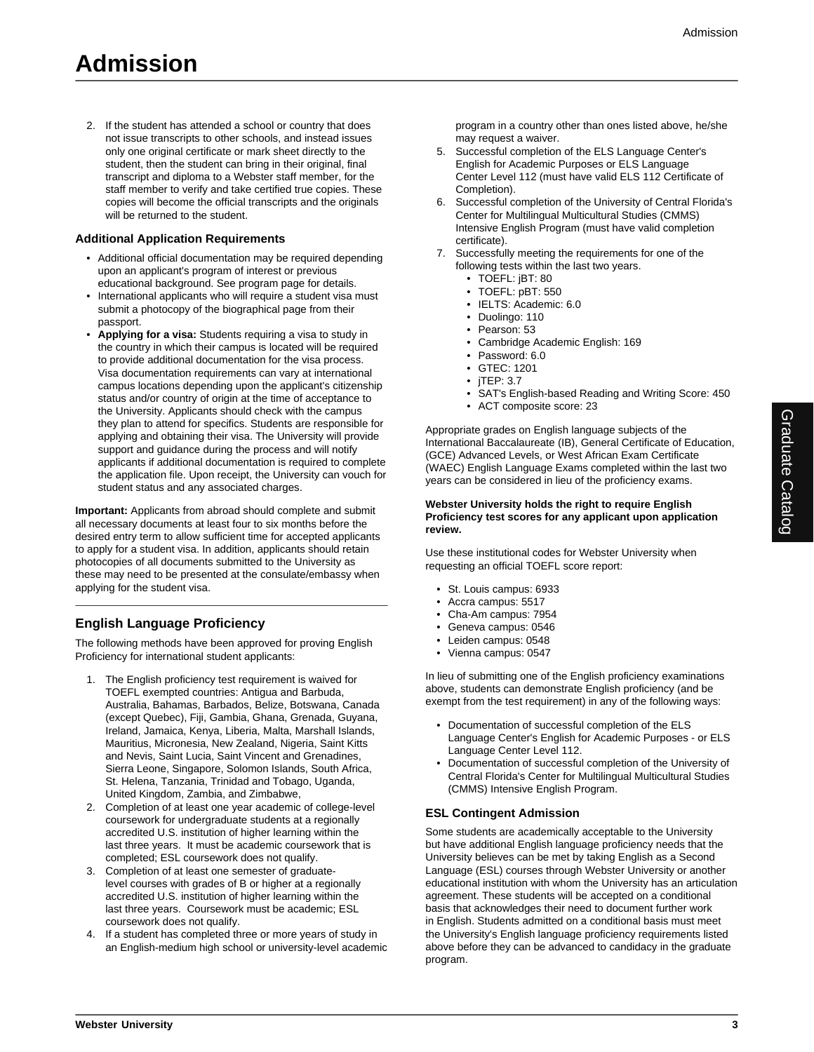2. If the student has attended a school or country that does not issue transcripts to other schools, and instead issues only one original certificate or mark sheet directly to the student, then the student can bring in their original, final transcript and diploma to a Webster staff member, for the staff member to verify and take certified true copies. These copies will become the official transcripts and the originals will be returned to the student.

#### **Additional Application Requirements**

- Additional official documentation may be required depending upon an applicant's program of interest or previous educational background. See program page for details.
- International applicants who will require a student visa must submit a photocopy of the biographical page from their passport.
- **Applying for a visa:** Students requiring a visa to study in the country in which their campus is located will be required to provide additional documentation for the visa process. Visa documentation requirements can vary at international campus locations depending upon the applicant's citizenship status and/or country of origin at the time of acceptance to the University. Applicants should check with the campus they plan to attend for specifics. Students are responsible for applying and obtaining their visa. The University will provide support and guidance during the process and will notify applicants if additional documentation is required to complete the application file. Upon receipt, the University can vouch for student status and any associated charges.

**Important:** Applicants from abroad should complete and submit all necessary documents at least four to six months before the desired entry term to allow sufficient time for accepted applicants to apply for a student visa. In addition, applicants should retain photocopies of all documents submitted to the University as these may need to be presented at the consulate/embassy when applying for the student visa.

# **English Language Proficiency**

The following methods have been approved for proving English Proficiency for international student applicants:

- 1. The English proficiency test requirement is waived for TOEFL exempted countries: Antigua and Barbuda, Australia, Bahamas, Barbados, Belize, Botswana, Canada (except Quebec), Fiji, Gambia, Ghana, Grenada, Guyana, Ireland, Jamaica, Kenya, Liberia, Malta, Marshall Islands, Mauritius, Micronesia, New Zealand, Nigeria, Saint Kitts and Nevis, Saint Lucia, Saint Vincent and Grenadines, Sierra Leone, Singapore, Solomon Islands, South Africa, St. Helena, Tanzania, Trinidad and Tobago, Uganda, United Kingdom, Zambia, and Zimbabwe,
- 2. Completion of at least one year academic of college-level coursework for undergraduate students at a regionally accredited U.S. institution of higher learning within the last three years. It must be academic coursework that is completed; ESL coursework does not qualify.
- 3. Completion of at least one semester of graduatelevel courses with grades of B or higher at a regionally accredited U.S. institution of higher learning within the last three years. Coursework must be academic; ESL coursework does not qualify.
- 4. If a student has completed three or more years of study in an English-medium high school or university-level academic

program in a country other than ones listed above, he/she may request a waiver.

- 5. Successful completion of the ELS Language Center's English for Academic Purposes or ELS Language Center Level 112 (must have valid ELS 112 Certificate of Completion).
- 6. Successful completion of the University of Central Florida's Center for Multilingual Multicultural Studies (CMMS) Intensive English Program (must have valid completion certificate).
- 7. Successfully meeting the requirements for one of the following tests within the last two years.
	- TOEFL: jBT: 80
	- TOEFL: pBT: 550
	- IELTS: Academic: 6.0
	- Duolingo: 110
	- Pearson: 53
	- Cambridge Academic English: 169
	- Password: 6.0
	- GTEC: 1201
	- jTEP: 3.7
	- SAT's English-based Reading and Writing Score: 450
	- ACT composite score: 23

Appropriate grades on English language subjects of the International Baccalaureate (IB), General Certificate of Education, (GCE) Advanced Levels, or West African Exam Certificate (WAEC) English Language Exams completed within the last two years can be considered in lieu of the proficiency exams.

#### **Webster University holds the right to require English Proficiency test scores for any applicant upon application review.**

Use these institutional codes for Webster University when requesting an official TOEFL score report:

- St. Louis campus: 6933
- Accra campus: 5517
- Cha-Am campus: 7954
- Geneva campus: 0546
- Leiden campus: 0548
- Vienna campus: 0547

In lieu of submitting one of the English proficiency examinations above, students can demonstrate English proficiency (and be exempt from the test requirement) in any of the following ways:

- Documentation of successful completion of the ELS Language Center's English for Academic Purposes - or ELS Language Center Level 112.
- Documentation of successful completion of the University of Central Florida's Center for Multilingual Multicultural Studies (CMMS) Intensive English Program.

### **ESL Contingent Admission**

Some students are academically acceptable to the University but have additional English language proficiency needs that the University believes can be met by taking English as a Second Language (ESL) courses through Webster University or another educational institution with whom the University has an articulation agreement. These students will be accepted on a conditional basis that acknowledges their need to document further work in English. Students admitted on a conditional basis must meet the University's English language proficiency requirements listed above before they can be advanced to candidacy in the graduate program.